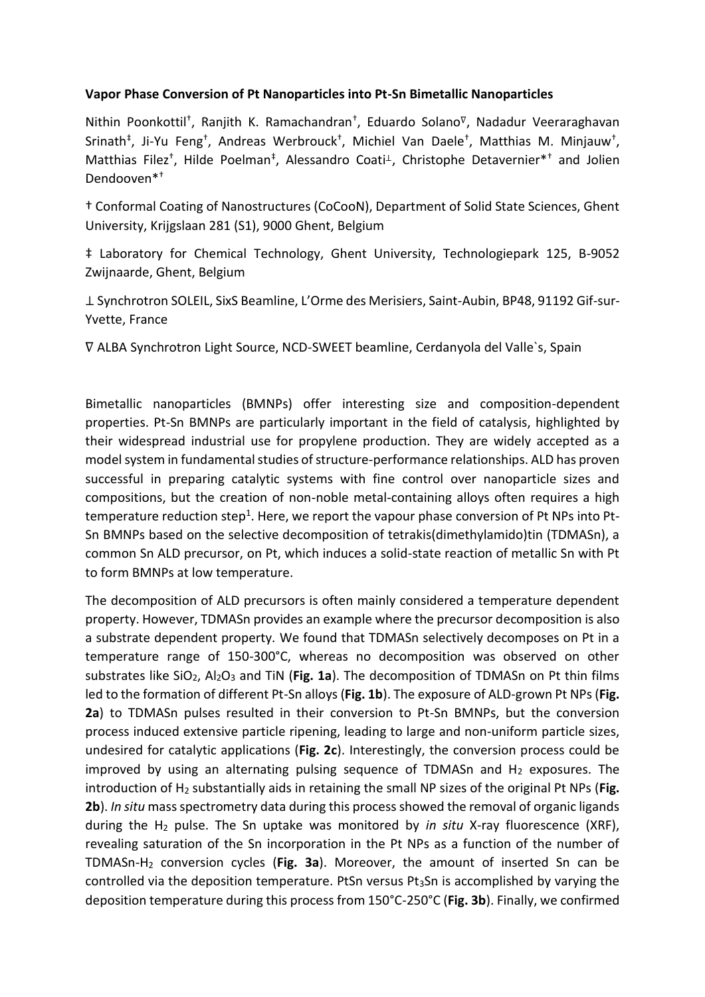## **Vapor Phase Conversion of Pt Nanoparticles into Pt-Sn Bimetallic Nanoparticles**

Nithin Poonkottil<sup>†</sup>, Ranjith K. Ramachandran<sup>†</sup>, Eduardo Solano<sup>⊽</sup>, Nadadur Veeraraghavan Srinath<sup>‡</sup>, Ji-Yu Feng<sup>†</sup>, Andreas Werbrouck<sup>†</sup>, Michiel Van Daele<sup>†</sup>, Matthias M. Minjauw<sup>†</sup>, Matthias Filez<sup>†</sup>, Hilde Poelman<sup>‡</sup>, Alessandro Coati<sup>⊥</sup>, Christophe Detavernier<sup>\*†</sup> and Jolien Dendooven\*†

† Conformal Coating of Nanostructures (CoCooN), Department of Solid State Sciences, Ghent University, Krijgslaan 281 (S1), 9000 Ghent, Belgium

‡ Laboratory for Chemical Technology, Ghent University, Technologiepark 125, B-9052 Zwijnaarde, Ghent, Belgium

⊥ Synchrotron SOLEIL, SixS Beamline, L'Orme des Merisiers, Saint-Aubin, BP48, 91192 Gif-sur-Yvette, France

∇ ALBA Synchrotron Light Source, NCD-SWEET beamline, Cerdanyola del Valle`s, Spain

Bimetallic nanoparticles (BMNPs) offer interesting size and composition-dependent properties. Pt-Sn BMNPs are particularly important in the field of catalysis, highlighted by their widespread industrial use for propylene production. They are widely accepted as a model system in fundamental studies of structure-performance relationships. ALD has proven successful in preparing catalytic systems with fine control over nanoparticle sizes and compositions, but the creation of non-noble metal-containing alloys often requires a high temperature reduction step<sup>1</sup>. Here, we report the vapour phase conversion of Pt NPs into Pt-Sn BMNPs based on the selective decomposition of tetrakis(dimethylamido)tin (TDMASn), a common Sn ALD precursor, on Pt, which induces a solid-state reaction of metallic Sn with Pt to form BMNPs at low temperature.

The decomposition of ALD precursors is often mainly considered a temperature dependent property. However, TDMASn provides an example where the precursor decomposition is also a substrate dependent property. We found that TDMASn selectively decomposes on Pt in a temperature range of 150-300°C, whereas no decomposition was observed on other substrates like SiO<sub>2</sub>, Al<sub>2</sub>O<sub>3</sub> and TiN (Fig. 1a). The decomposition of TDMASn on Pt thin films led to the formation of different Pt-Sn alloys (**Fig. 1b**). The exposure of ALD-grown Pt NPs (**Fig. 2a**) to TDMASn pulses resulted in their conversion to Pt-Sn BMNPs, but the conversion process induced extensive particle ripening, leading to large and non-uniform particle sizes, undesired for catalytic applications (**Fig. 2c**). Interestingly, the conversion process could be improved by using an alternating pulsing sequence of TDMASn and  $H_2$  exposures. The introduction of H<sub>2</sub> substantially aids in retaining the small NP sizes of the original Pt NPs (Fig. **2b**). *In situ* mass spectrometry data during this process showed the removal of organic ligands during the H<sup>2</sup> pulse. The Sn uptake was monitored by *in situ* X-ray fluorescence (XRF), revealing saturation of the Sn incorporation in the Pt NPs as a function of the number of TDMASn-H<sup>2</sup> conversion cycles (**Fig. 3a**). Moreover, the amount of inserted Sn can be controlled via the deposition temperature. PtSn versus Pt<sub>3</sub>Sn is accomplished by varying the deposition temperature during this process from 150°C-250°C (**Fig. 3b**). Finally, we confirmed